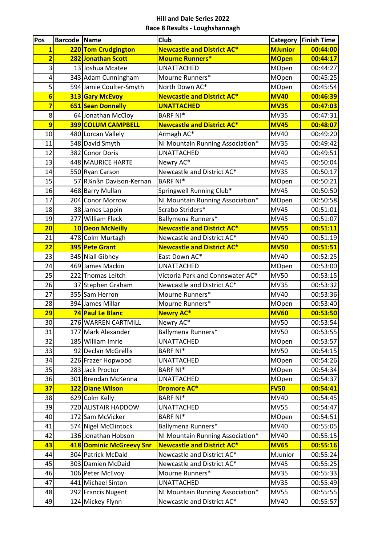| Pos                     | <b>Barcode Name</b> |                                      | Club                               | <b>Category</b>      | <b>Finish Time</b>   |
|-------------------------|---------------------|--------------------------------------|------------------------------------|----------------------|----------------------|
| $\overline{\mathbf{1}}$ |                     | 220 Tom Crudgington                  | <b>Newcastle and District AC*</b>  | <b>MJunior</b>       | 00:44:00             |
| $\overline{\mathbf{2}}$ |                     | 282 Jonathan Scott                   | <b>Mourne Runners*</b>             | <b>MOpen</b>         | 00:44:17             |
| 3                       |                     | 13 Joshua Mcatee                     | <b>UNATTACHED</b>                  | MOpen                | 00:44:27             |
| 4                       |                     | 343 Adam Cunningham                  | Mourne Runners*                    | MOpen                | 00:45:25             |
| 5                       |                     | 594 Jamie Coulter-Smyth              | North Down AC*                     | <b>MOpen</b>         | 00:45:54             |
| $6\phantom{1}6$         |                     | 313 Gary McEvoy                      | <b>Newcastle and District AC*</b>  | <b>MV40</b>          | 00:46:39             |
| $\overline{\mathbf{z}}$ |                     | 651 Sean Donnelly                    | <b>UNATTACHED</b>                  | <b>MV35</b>          | 00:47:03             |
| 8                       |                     | 64 Jonathan McCloy                   | <b>BARF NI*</b>                    | <b>MV35</b>          | 00:47:31             |
| 9                       |                     | 399 COLUM CAMPBELL                   | <b>Newcastle and District AC*</b>  | <b>MV45</b>          | 00:48:07             |
| 10                      |                     | 480 Lorcan Vallely                   | Armagh AC*                         | <b>MV40</b>          | 00:49:20             |
| 11                      |                     | 548 David Smyth                      | NI Mountain Running Association*   | <b>MV35</b>          | 00:49:42             |
| 12                      |                     | 382 Conor Doris                      | <b>UNATTACHED</b>                  | <b>MV40</b>          | 00:49:51             |
| 13                      |                     | 448 MAURICE HARTE                    | Newry AC*                          | <b>MV45</b>          | 00:50:04             |
| 14                      |                     | 550 Ryan Carson                      | Newcastle and District AC*         | <b>MV35</b>          | 00:50:17             |
| 15                      |                     | 57 R%nßn Davison-Kernan              | <b>BARF NI*</b>                    | MOpen                | 00:50:21             |
| 16                      |                     | 468 Barry Mullan                     | Springwell Running Club*           | <b>MV45</b>          | 00:50:50             |
| 17                      |                     | 204 Conor Morrow                     | NI Mountain Running Association*   | MOpen                | 00:50:58             |
| 18                      |                     | 38 James Lappin                      | Scrabo Striders*                   | <b>MV45</b>          | 00:51:01             |
| 19                      |                     | 277 William Fleck                    | Ballymena Runners*                 | <b>MV45</b>          | 00:51:07             |
| 20                      |                     | 10 Deon McNeilly                     | <b>Newcastle and District AC*</b>  | <b>MV55</b>          | 00:51:11             |
| 21                      |                     | 478 Colm Murtagh                     | Newcastle and District AC*         | <b>MV40</b>          | 00:51:19             |
| $\overline{22}$         |                     | 395 Pete Grant                       | <b>Newcastle and District AC*</b>  | <b>MV50</b><br>MV40  | 00:51:51             |
| 23                      |                     | 345 Niall Gibney<br>469 James Mackin | East Down AC*<br><b>UNATTACHED</b> |                      | 00:52:25             |
| 24<br>25                |                     | 222 Thomas Leitch                    | Victoria Park and Connswater AC*   | MOpen<br><b>MV50</b> | 00:53:00<br>00:53:15 |
| 26                      |                     | 37 Stephen Graham                    | Newcastle and District AC*         | <b>MV35</b>          | 00:53:32             |
| 27                      |                     | 355 Sam Herron                       | Mourne Runners*                    | <b>MV40</b>          | 00:53:36             |
| 28                      |                     | 394 James Millar                     | Mourne Runners*                    | MOpen                | 00:53:40             |
| 29                      |                     | 74 Paul Le Blanc                     | <b>Newry AC*</b>                   | <b>MV60</b>          | 00:53:50             |
| 30                      |                     | 276 WARREN CARTMILL                  | Newry AC*                          | <b>MV50</b>          | 00:53:54             |
| 31                      |                     | 177 Mark Alexander                   | Ballymena Runners*                 | <b>MV50</b>          | 00:53:55             |
| 32                      |                     | 185 William Imrie                    | <b>UNATTACHED</b>                  | <b>MOpen</b>         | 00:53:57             |
| 33                      |                     | 92 Declan McGrellis                  | <b>BARF NI*</b>                    | <b>MV50</b>          | 00:54:15             |
| 34                      |                     | 226 Frazer Hopwood                   | <b>UNATTACHED</b>                  | MOpen                | 00:54:26             |
| 35                      |                     | 283 Jack Proctor                     | <b>BARF NI*</b>                    | MOpen                | 00:54:34             |
| 36                      |                     | 301 Brendan McKenna                  | <b>UNATTACHED</b>                  | MOpen                | 00:54:37             |
| 37                      |                     | 122 Diane Wilson                     | <b>Dromore AC*</b>                 | <b>FV50</b>          | 00:54:41             |
| 38                      |                     | 629 Colm Kelly                       | <b>BARF NI*</b>                    | MV40                 | 00:54:45             |
| 39                      |                     | 720 ALISTAIR HADDOW                  | <b>UNATTACHED</b>                  | <b>MV55</b>          | 00:54:47             |
| 40                      |                     | 172 Sam McVicker                     | <b>BARF NI*</b>                    | MOpen                | 00:54:51             |
| 41                      |                     | 574 Nigel McClintock                 | Ballymena Runners*                 | <b>MV40</b>          | 00:55:05             |
| 42                      |                     | 136 Jonathan Hobson                  | NI Mountain Running Association*   | MV40                 | 00:55:15             |
| 43                      |                     | 418 Dominic McGreevy Snr             | <b>Newcastle and District AC*</b>  | <b>MV65</b>          | 00:55:16             |
| 44                      |                     | 304 Patrick McDaid                   | Newcastle and District AC*         | MJunior              | 00:55:24             |
| 45                      |                     | 303 Damien McDaid                    | Newcastle and District AC*         | <b>MV45</b>          | 00:55:25             |
| 46                      |                     | 106 Peter McEvoy                     | Mourne Runners*                    | <b>MV35</b>          | 00:55:33             |
| 47                      |                     | 441 Michael Sinton                   | <b>UNATTACHED</b>                  | <b>MV35</b>          | 00:55:49             |
| 48                      |                     | 292 Francis Nugent                   | NI Mountain Running Association*   | <b>MV55</b>          | 00:55:55             |
| 49                      |                     | 124 Mickey Flynn                     | Newcastle and District AC*         | MV40                 | 00:55:57             |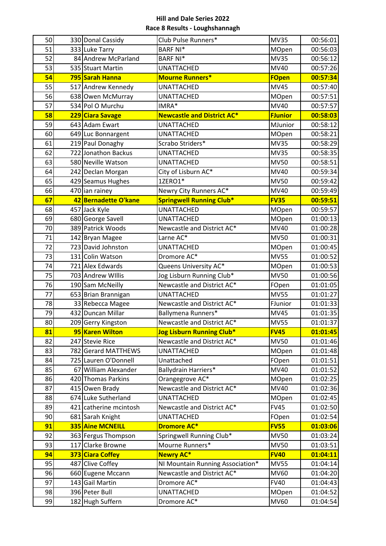| 50       | 330 Donal Cassidy                    | Club Pulse Runners*                                            | <b>MV35</b>                | 00:56:01             |
|----------|--------------------------------------|----------------------------------------------------------------|----------------------------|----------------------|
| 51       | 333 Luke Tarry                       | <b>BARF NI*</b>                                                | MOpen                      | 00:56:03             |
| 52       | 84 Andrew McParland                  | <b>BARF NI*</b>                                                | <b>MV35</b>                | 00:56:12             |
| 53       | 535 Stuart Martin                    | <b>UNATTACHED</b>                                              | <b>MV40</b>                | 00:57:26             |
| 54       | 795 Sarah Hanna                      | <b>Mourne Runners*</b>                                         | <b>FOpen</b>               | 00:57:34             |
| 55       | 517 Andrew Kennedy                   | <b>UNATTACHED</b>                                              | <b>MV45</b>                | 00:57:40             |
| 56       | 638 Owen McMurray                    | <b>UNATTACHED</b>                                              | MOpen                      | 00:57:51             |
| 57       | 534 Pol O Murchu                     | IMRA*                                                          | MV40                       | 00:57:57             |
| 58       | 229 Ciara Savage                     | <b>Newcastle and District AC*</b>                              | <b>FJunior</b>             | 00:58:03             |
| 59       | 643 Adam Ewart                       | <b>UNATTACHED</b>                                              | MJunior                    | 00:58:12             |
| 60       | 649 Luc Bonnargent                   | <b>UNATTACHED</b>                                              | MOpen                      | 00:58:21             |
| 61       | 219 Paul Donaghy                     | Scrabo Striders*                                               | <b>MV35</b>                | 00:58:29             |
| 62       | 722 Jonathon Backus                  | <b>UNATTACHED</b>                                              | <b>MV35</b>                | 00:58:35             |
| 63       | 580 Neville Watson                   | <b>UNATTACHED</b>                                              | <b>MV50</b>                | 00:58:51             |
| 64       | 242 Declan Morgan                    | City of Lisburn AC*                                            | MV40                       | 00:59:34             |
| 65       | 429 Seamus Hughes                    | 1ZERO1*                                                        | <b>MV50</b>                | 00:59:42             |
| 66       | 470 ian rainey                       | Newry City Runners AC*                                         | <b>MV40</b>                | 00:59:49             |
| 67       | 42 Bernadette O'kane                 | <b>Springwell Running Club*</b>                                | <b>FV35</b>                | 00:59:51             |
| 68       | 457 Jack Kyle                        | <b>UNATTACHED</b>                                              | MOpen                      | 00:59:57             |
| 69       | 680 George Savell                    | <b>UNATTACHED</b>                                              | MOpen                      | 01:00:13             |
| 70       | 389 Patrick Woods                    | Newcastle and District AC*                                     | <b>MV40</b>                | 01:00:28             |
| 71       | 142 Bryan Magee                      | Larne AC*                                                      | <b>MV50</b>                | 01:00:31             |
| 72       | 723 David Johnston                   | <b>UNATTACHED</b>                                              | MOpen                      | 01:00:45             |
| 73       | 131 Colin Watson                     | Dromore AC*                                                    | <b>MV55</b>                | 01:00:52             |
| 74       | 721 Alex Edwards                     | Queens University AC*                                          | MOpen                      | 01:00:53             |
| 75       | 703 Andrew Willis                    | Jog Lisburn Running Club*                                      | <b>MV50</b>                | 01:00:56             |
| 76       | 190 Sam McNeilly                     | Newcastle and District AC*                                     | FOpen                      | 01:01:05             |
| 77       | 653 Brian Brannigan                  | <b>UNATTACHED</b>                                              | <b>MV55</b>                | 01:01:27             |
| 78       | 33 Rebecca Magee                     | Newcastle and District AC*                                     | FJunior                    | 01:01:33             |
| 79       | 432 Duncan Millar                    | Ballymena Runners*                                             | <b>MV45</b>                | 01:01:35             |
| 80       | 209 Gerry Kingston                   | Newcastle and District AC*                                     | <b>MV55</b>                | 01:01:37             |
| 81       | 95 Karen Wilton                      | <b>Jog Lisburn Running Club*</b>                               | <b>FV45</b>                | 01:01:45             |
| 82       | 247 Stevie Rice                      | Newcastle and District AC*                                     | <b>MV50</b>                | 01:01:46             |
| 83       | 782 Gerard MATTHEWS                  | <b>UNATTACHED</b>                                              | MOpen                      | 01:01:48             |
| 84       | 725 Lauren O'Donnell                 | Unattached                                                     | FOpen                      | 01:01:51             |
| 85       | 67 William Alexander                 | Ballydrain Harriers*                                           | MV40                       | 01:01:52             |
| 86       | 420 Thomas Parkins                   | Orangegrove AC*                                                | MOpen                      | 01:02:25             |
| 87       | 415 Owen Brady                       | Newcastle and District AC*                                     | MV40                       | 01:02:36             |
| 88       | 674 Luke Sutherland                  | <b>UNATTACHED</b>                                              | MOpen                      | 01:02:45             |
| 89       | 421 catherine mcintosh               | Newcastle and District AC*                                     | <b>FV45</b>                | 01:02:50             |
| 90       | 681 Sarah Knight                     | <b>UNATTACHED</b>                                              | FOpen                      | 01:02:54             |
| 91       | 335 Aine MCNEILL                     | <b>Dromore AC*</b>                                             | <b>FV55</b>                | 01:03:06             |
| 92       | 363 Fergus Thompson                  | Springwell Running Club*                                       | <b>MV50</b>                | 01:03:24             |
| 93<br>94 | 117 Clarke Browne                    | Mourne Runners*<br><b>Newry AC*</b>                            | <b>MV50</b><br><b>FV40</b> | 01:03:51<br>01:04:11 |
| 95       | 373 Ciara Coffey<br>487 Clive Coffey |                                                                | <b>MV55</b>                | 01:04:14             |
| 96       | 660 Eugene Mccann                    | NI Mountain Running Association*<br>Newcastle and District AC* | MV60                       | 01:04:20             |
| 97       | 143 Gail Martin                      | Dromore AC*                                                    | <b>FV40</b>                | 01:04:43             |
| 98       | 396 Peter Bull                       | <b>UNATTACHED</b>                                              | MOpen                      | 01:04:52             |
| 99       | 182 Hugh Suffern                     | Dromore AC*                                                    | <b>MV60</b>                | 01:04:54             |
|          |                                      |                                                                |                            |                      |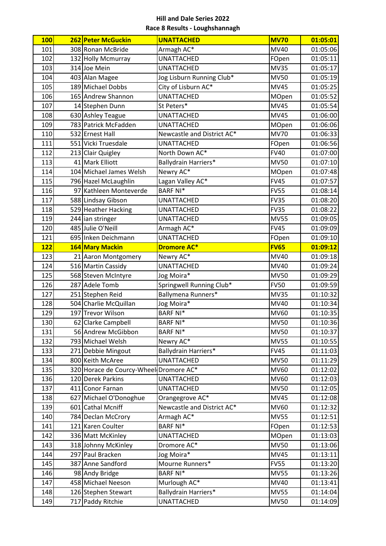| <b>100</b> | 262 Peter McGuckin                     | <b>UNATTACHED</b>           | <b>MV70</b> | 01:05:01 |
|------------|----------------------------------------|-----------------------------|-------------|----------|
| 101        | 308 Ronan McBride                      | Armagh AC*                  | <b>MV40</b> | 01:05:06 |
| 102        | 132 Holly Mcmurray                     | <b>UNATTACHED</b>           | FOpen       | 01:05:11 |
| 103        | 314 Joe Mein                           | <b>UNATTACHED</b>           | <b>MV35</b> | 01:05:17 |
| 104        | 403 Alan Magee                         | Jog Lisburn Running Club*   | <b>MV50</b> | 01:05:19 |
| 105        | 189 Michael Dobbs                      | City of Lisburn AC*         | <b>MV45</b> | 01:05:25 |
| 106        | 165 Andrew Shannon                     | <b>UNATTACHED</b>           | MOpen       | 01:05:52 |
| 107        | 14 Stephen Dunn                        | St Peters*                  | <b>MV45</b> | 01:05:54 |
| 108        | 630 Ashley Teague                      | <b>UNATTACHED</b>           | <b>MV45</b> | 01:06:00 |
| 109        | 783 Patrick McFadden                   | <b>UNATTACHED</b>           | MOpen       | 01:06:06 |
| 110        | 532 Ernest Hall                        | Newcastle and District AC*  | <b>MV70</b> | 01:06:33 |
| 111        | 551 Vicki Truesdale                    | <b>UNATTACHED</b>           | FOpen       | 01:06:56 |
| 112        | 213 Clair Quigley                      | North Down AC*              | <b>FV40</b> | 01:07:00 |
| 113        | 41 Mark Elliott                        | <b>Ballydrain Harriers*</b> | <b>MV50</b> | 01:07:10 |
| 114        | 104 Michael James Welsh                | Newry AC*                   | MOpen       | 01:07:48 |
| 115        | 796 Hazel McLaughlin                   | Lagan Valley AC*            | <b>FV45</b> | 01:07:57 |
| 116        | 97 Kathleen Monteverde                 | <b>BARF NI*</b>             | <b>FV55</b> | 01:08:14 |
| 117        | 588 Lindsay Gibson                     | <b>UNATTACHED</b>           | <b>FV35</b> | 01:08:20 |
| 118        | 529 Heather Hacking                    | <b>UNATTACHED</b>           | <b>FV35</b> | 01:08:22 |
| 119        | 244 ian stringer                       | <b>UNATTACHED</b>           | <b>MV55</b> | 01:09:05 |
| 120        | 485 Julie O'Neill                      | Armagh AC*                  | <b>FV45</b> | 01:09:09 |
| 121        | 695 Inken Deichmann                    | <b>UNATTACHED</b>           | FOpen       | 01:09:10 |
| <b>122</b> | 164 Mary Mackin                        | <b>Dromore AC*</b>          | <b>FV65</b> | 01:09:12 |
| 123        | 21 Aaron Montgomery                    | Newry AC*                   | MV40        | 01:09:18 |
| 124        | 516 Martin Cassidy                     | <b>UNATTACHED</b>           | MV40        | 01:09:24 |
| 125        | 568 Steven McIntyre                    | Jog Moira*                  | <b>MV50</b> | 01:09:29 |
| 126        | 287 Adele Tomb                         | Springwell Running Club*    | <b>FV50</b> | 01:09:59 |
| 127        | 251 Stephen Reid                       | Ballymena Runners*          | <b>MV35</b> | 01:10:32 |
| 128        | 504 Charlie McQuillan                  | Jog Moira*                  | MV40        | 01:10:34 |
| 129        | 197 Trevor Wilson                      | <b>BARF NI*</b>             | MV60        | 01:10:35 |
| 130        | 62 Clarke Campbell                     | <b>BARF NI*</b>             | <b>MV50</b> | 01:10:36 |
| 131        | 56 Andrew McGibbon                     | <b>BARF NI*</b>             | <b>MV50</b> | 01:10:37 |
| 132        | 793 Michael Welsh                      | Newry AC*                   | <b>MV55</b> | 01:10:55 |
| 133        | 271 Debbie Mingout                     | Ballydrain Harriers*        | <b>FV45</b> | 01:11:03 |
| 134        | 800 Keith McAree                       | <b>UNATTACHED</b>           | <b>MV50</b> | 01:11:29 |
| 135        | 320 Horace de Courcy-Wheel Dromore AC* |                             | <b>MV60</b> | 01:12:02 |
| 136        | 120 Derek Parkins                      | <b>UNATTACHED</b>           | MV60        | 01:12:03 |
| 137        | 411 Conor Farnan                       | <b>UNATTACHED</b>           | <b>MV50</b> | 01:12:05 |
| 138        | 627 Michael O'Donoghue                 | Orangegrove AC*             | <b>MV45</b> | 01:12:08 |
| 139        | 601 Cathal Mcniff                      | Newcastle and District AC*  | MV60        | 01:12:32 |
| 140        | 784 Declan McCrory                     | Armagh AC*                  | <b>MV55</b> | 01:12:51 |
| 141        | 121 Karen Coulter                      | <b>BARF NI*</b>             | FOpen       | 01:12:53 |
| 142        | 336 Matt McKinley                      | <b>UNATTACHED</b>           | MOpen       | 01:13:03 |
| 143        | 318 Johnny McKinley                    | Dromore AC*                 | <b>MV50</b> | 01:13:06 |
| 144        | 297 Paul Bracken                       | Jog Moira*                  | <b>MV45</b> | 01:13:11 |
| 145        | 387 Anne Sandford                      | Mourne Runners*             | <b>FV55</b> | 01:13:20 |
| 146        | 98 Andy Bridge                         | <b>BARF NI*</b>             | <b>MV55</b> | 01:13:26 |
| 147        | 458 Michael Neeson                     | Murlough AC*                | MV40        | 01:13:41 |
| 148        | 126 Stephen Stewart                    | Ballydrain Harriers*        | <b>MV55</b> | 01:14:04 |
| 149        | 717 Paddy Ritchie                      | <b>UNATTACHED</b>           | <b>MV50</b> | 01:14:09 |